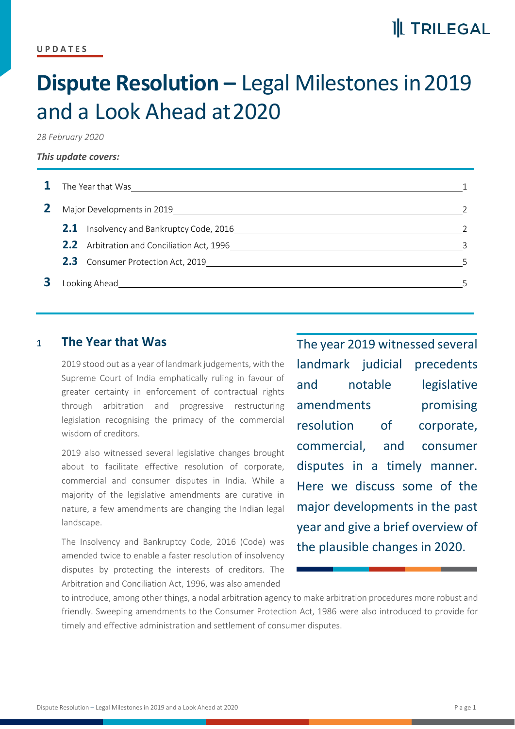## **II** TRILEGAL

# **Dispute Resolution – Legal Milestones in 2019** and a Look Ahead at2020

*28 February 2020*

#### *This update covers:*

| The Year that Was the Communication of the Communication of the Communication of the Communication of the Communication of the Communication of the Communication of the Communication of the Communication of the Communicati |  |
|--------------------------------------------------------------------------------------------------------------------------------------------------------------------------------------------------------------------------------|--|
| Major Developments in 2019                                                                                                                                                                                                     |  |
| 2.1 Insolvency and Bankruptcy Code, 2016<br>2016<br>2016<br>2016<br>2017                                                                                                                                                       |  |
| <b>2.2</b> Arbitration and Conciliation Act, 1996                                                                                                                                                                              |  |
| <b>2.3</b> Consumer Protection Act, 2019                                                                                                                                                                                       |  |
|                                                                                                                                                                                                                                |  |

### <sup>1</sup> **The Year that Was**

2019 stood out as a year of landmark judgements, with the Supreme Court of India emphatically ruling in favour of and greater certainty in enforcement of contractual rights and notable through arbitration and progressive restructuring legislation recognising the primacy of the commercial resolution wisdom of creditors.

2019 also witnessed several legislative changes brought about to facilitate effective resolution of corporate, commercial and consumer disputes in India. While a majority of the legislative amendments are curative in nature, a few amendments are changing the Indian legal landscape.

The Insolvency and Bankruptcy Code, 2016 (Code) was amended twice to enable a faster resolution of insolvency disputes by protecting the interests of creditors. The Arbitration and Conciliation Act, 1996, was also amended

The year 2019 witnessed several landmark judicial precedents legislative amendments promising of corporate, commercial, and consumer disputes in a timely manner. Here we discuss some of the major developments in the past year and give a brief overview of the plausible changes in 2020.

to introduce, among other things, a nodal arbitration agency to make arbitration procedures more robust and friendly. Sweeping amendments to the Consumer Protection Act, 1986 were also introduced to provide for timely and effective administration and settlement of consumer disputes.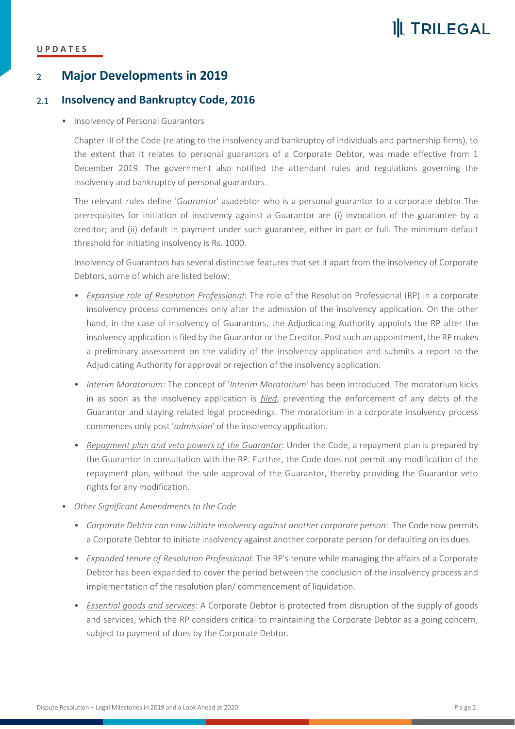## **II** TRILEGAL

#### **U P D A T E S**

### <sup>2</sup> **Major Developments in 2019**

#### 2.1 **Insolvency and Bankruptcy Code, 2016**

• Insolvency of Personal Guarantors

Chapter III of the Code (relating to the insolvency and bankruptcy of individuals and partnership firms), to the extent that it relates to personal guarantors of a Corporate Debtor, was made effective from 1 December 2019. The government also notified the attendant rules and regulations governing the insolvency and bankruptcy of personal guarantors.

The relevant rules define '*Guarantor*' asadebtor who is a personal guarantor to a corporate debtor.The prerequisites for initiation of insolvency against a Guarantor are (i) invocation of the guarantee by a creditor; and (ii) default in payment under such guarantee, either in part or full. The minimum default threshold for initiating insolvency is Rs. 1000.

Insolvency of Guarantors has several distinctive features that set it apart from the insolvency of Corporate Debtors, some of which are listed below:

- *Expansive role of Resolution Professional*: The role of the Resolution Professional (RP) in a corporate insolvency process commences only after the admission of the insolvency application. On the other hand, in the case of insolvency of Guarantors, the Adjudicating Authority appoints the RP after the insolvency application isfiled by the Guarantor or the Creditor. Postsuch an appointment, the RP makes a preliminary assessment on the validity of the insolvency application and submits a report to the Adjudicating Authority for approval or rejection of the insolvency application.
- *Interim Moratorium*: The concept of '*Interim Moratorium*' has been introduced. The moratorium kicks in as soon as the insolvency application is *filed*, preventing the enforcement of any debts of the Guarantor and staying related legal proceedings. The moratorium in a corporate insolvency process commences only post '*admission*' of the insolvency application.
- *Repayment plan and veto powers of the Guarantor*: Under the Code, a repayment plan is prepared by the Guarantor in consultation with the RP. Further, the Code does not permit any modification of the repayment plan, without the sole approval of the Guarantor, thereby providing the Guarantor veto rights for any modification.
- *Other Significant Amendments to the Code*
	- *Corporate Debtor can now initiate insolvency against another corporate person*: The Code now permits a Corporate Debtor to initiate insolvency against another corporate person for defaulting on itsdues.
	- *Expanded tenure of Resolution Professional: The RP's tenure while managing the affairs of a Corporate* Debtor has been expanded to cover the period between the conclusion of the insolvency process and implementation of the resolution plan/ commencement of liquidation.
	- *Essential goods and services*: A Corporate Debtor is protected from disruption of the supply of goods and services, which the RP considers critical to maintaining the Corporate Debtor as a going concern, subject to payment of dues by the Corporate Debtor.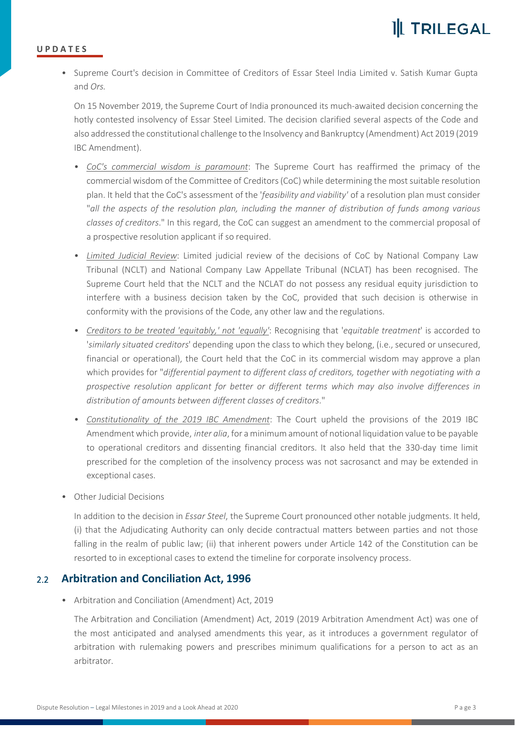

#### **U P D A T E S**

• Supreme Court's decision in Committee of Creditors of Essar Steel India Limited v. Satish Kumar Gupta and *Ors.*

On 15 November 2019, the Supreme Court of India pronounced its much-awaited decision concerning the hotly contested insolvency of Essar Steel Limited. The decision clarified several aspects of the Code and also addressed the constitutional challenge to the Insolvency and Bankruptcy (Amendment) Act 2019 (2019 IBC Amendment).

- *CoC's commercial wisdom is paramount*: The Supreme Court has reaffirmed the primacy of the commercial wisdom of the Committee of Creditors(CoC) while determining the mostsuitable resolution plan. It held that the CoC's assessment of the '*feasibility and viability'* of a resolution plan must consider "*all the aspects of the resolution plan, including the manner of distribution of funds among various classes of creditors*." In this regard, the CoC can suggest an amendment to the commercial proposal of a prospective resolution applicant if so required.
- *Limited Judicial Review*: Limited judicial review of the decisions of CoC by National Company Law Tribunal (NCLT) and National Company Law Appellate Tribunal (NCLAT) has been recognised. The Supreme Court held that the NCLT and the NCLAT do not possess any residual equity jurisdiction to interfere with a business decision taken by the CoC, provided that such decision is otherwise in conformity with the provisions of the Code, any other law and the regulations.
- *Creditors to be treated 'equitably,' not 'equally'*: Recognising that '*equitable treatment*' is accorded to '*similarly situated creditors*' depending upon the class to which they belong, (i.e., secured or unsecured, financial or operational), the Court held that the CoC in its commercial wisdom may approve a plan which provides for "*differential payment to different class of creditors, together with negotiating with a prospective resolution applicant for better or different terms which may also involve differences in distribution of amounts between different classes of creditors*."
- *Constitutionality of the 2019 IBC Amendment*: The Court upheld the provisions of the 2019 IBC Amendmentwhich provide, *inter alia*, for a minimum amount of notional liquidation value to be payable to operational creditors and dissenting financial creditors. It also held that the 330-day time limit prescribed for the completion of the insolvency process was not sacrosanct and may be extended in exceptional cases.
- Other Judicial Decisions

In addition to the decision in *Essar Steel*, the Supreme Court pronounced other notable judgments. It held, (i) that the Adjudicating Authority can only decide contractual matters between parties and not those falling in the realm of public law; (ii) that inherent powers under Article 142 of the Constitution can be resorted to in exceptional cases to extend the timeline for corporate insolvency process.

#### 2.2 **Arbitration and Conciliation Act, 1996**

• Arbitration and Conciliation (Amendment) Act, 2019

The Arbitration and Conciliation (Amendment) Act, 2019 (2019 Arbitration Amendment Act) was one of the most anticipated and analysed amendments this year, as it introduces a government regulator of arbitration with rulemaking powers and prescribes minimum qualifications for a person to act as an arbitrator.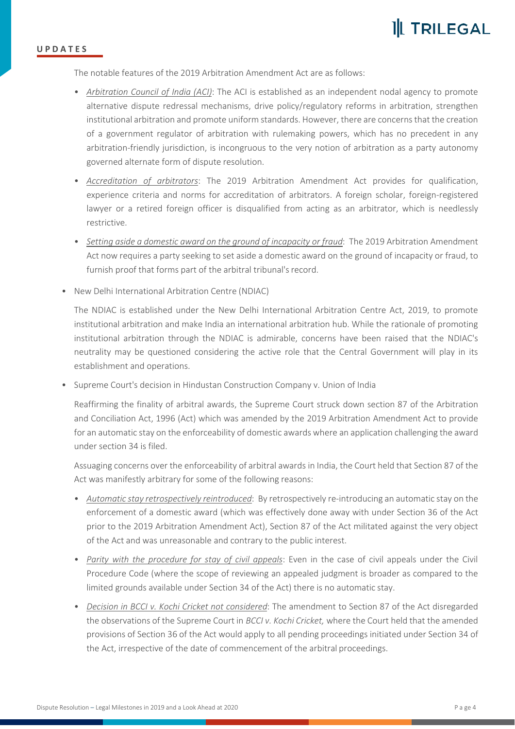

#### **U P D A T E S**

- The notable features of the 2019 Arbitration Amendment Act are as follows:<br>• *Arbitration Council of India (ACI)*: The ACI is established as an independent nodal agency to promote alternative dispute redressal mechanisms, drive policy/regulatory reforms in arbitration, strengthen institutional arbitration and promote uniform standards. However, there are concernsthat the creation of a government regulator of arbitration with rulemaking powers, which has no precedent in any arbitration-friendly jurisdiction, is incongruous to the very notion of arbitration as a party autonomy governed alternate form of dispute resolution.
- *Accreditation of arbitrators*: The 2019 Arbitration Amendment Act provides for qualification, experience criteria and norms for accreditation of arbitrators. A foreign scholar, foreign-registered lawyer or a retired foreign officer is disqualified from acting as an arbitrator, which is needlessly restrictive.
- *Setting aside a domestic award on the ground of incapacity or fraud*: The 2019 Arbitration Amendment Act now requires a party seeking to set aside a domestic award on the ground of incapacity or fraud, to furnish proof that forms part of the arbitral tribunal's record.
- New Delhi International Arbitration Centre (NDIAC)

The NDIAC is established under the New Delhi International Arbitration Centre Act, 2019, to promote institutional arbitration and make India an international arbitration hub. While the rationale of promoting institutional arbitration through the NDIAC is admirable, concerns have been raised that the NDIAC's neutrality may be questioned considering the active role that the Central Government will play in its establishment and operations.

• Supreme Court's decision in Hindustan Construction Company v. Union of India

Reaffirming the finality of arbitral awards, the Supreme Court struck down section 87 of the Arbitration and Conciliation Act, 1996 (Act) which was amended by the 2019 Arbitration Amendment Act to provide for an automatic stay on the enforceability of domestic awards where an application challenging the award under section 34 is filed.

Assuaging concerns over the enforceability of arbitral awards in India, the Court held that Section 87 of the Act was manifestly arbitrary for some of the following reasons:

- *Automatic stay retrospectively reintroduced*: By retrospectively re-introducing an automatic stay on the enforcement of a domestic award (which was effectively done away with under Section 36 of the Act prior to the 2019 Arbitration Amendment Act), Section 87 of the Act militated against the very object of the Act and was unreasonable and contrary to the public interest.
- *Parity with the procedure for stay of civil appeals*: Even in the case of civilappeals under the Civil Procedure Code (where the scope of reviewing an appealed judgment is broader as compared to the limited grounds available under Section 34 of the Act) there is no automatic stay.
- *Decision in BCCI v. KochiCricket not considered*: The amendment to Section 87 of the Act disregarded the observations of the Supreme Court in *BCCI v. Kochi Cricket,* where the Court held that the amended provisions of Section 36 of the Act would apply to all pending proceedings initiated under Section 34 of the Act, irrespective of the date of commencement of the arbitral proceedings.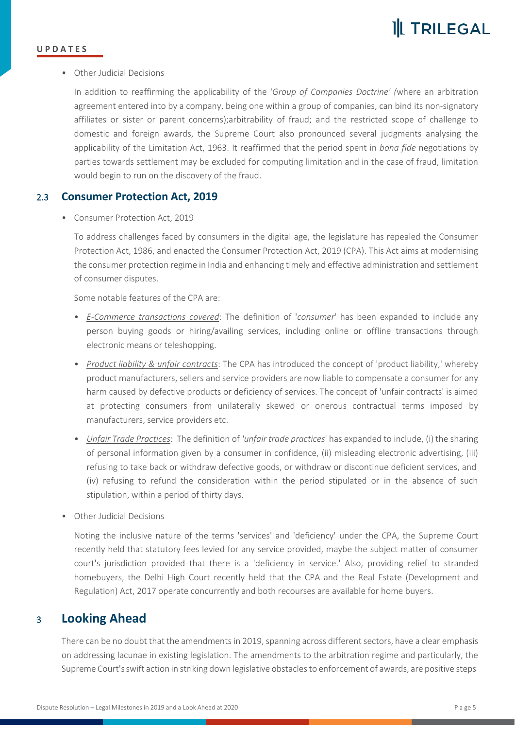## **IL TRILEGAL**

#### **U P D A T E S**

#### • Other Judicial Decisions

In addition to reaffirming the applicability of the '*Group of Companies Doctrine' (*where an arbitration agreement entered into by a company, being one within a group of companies, can bind its non-signatory affiliates or sister or parent concerns);arbitrability of fraud; and the restricted scope of challenge to domestic and foreign awards, the Supreme Court also pronounced several judgments analysing the applicability of the Limitation Act, 1963. It reaffirmed that the period spent in *bona fide* negotiations by parties towards settlement may be excluded for computing limitation and in the case of fraud, limitation would begin to run on the discovery of the fraud.

### 2.3 **Consumer Protection Act, 2019**

• Consumer Protection Act, 2019

To address challenges faced by consumers in the digital age, the legislature has repealed the Consumer Protection Act, 1986, and enacted the Consumer Protection Act, 2019 (CPA). This Act aims at modernising the consumer protection regime in India and enhancing timely and effective administration and settlement of consumer disputes.

Some notable features of the CPA are:

- *E-Commerce transactions covered*: The definition of '*consumer*' has been expanded to include any person buying goods or hiring/availing services, including online or offline transactions through electronic means or teleshopping.
- *Product liability & unfair contracts*: The CPA has introduced the concept of 'product liability,' whereby product manufacturers, sellers and service providers are now liable to compensate a consumer for any harm caused by defective products or deficiency of services. The concept of 'unfair contracts' is aimed at protecting consumers from unilaterally skewed or onerous contractual terms imposed by manufacturers, service providers etc.
- *Unfair Trade Practices*: The definition of *'unfair trade practices*' has expanded to include, (i) the sharing of personal information given by a consumer in confidence, (ii) misleading electronic advertising, (iii) refusing to take back or withdraw defective goods, or withdraw or discontinue deficient services, and (iv) refusing to refund the consideration within the period stipulated or in the absence of such stipulation, within a period of thirty days.
- Other Judicial Decisions

Noting the inclusive nature of the terms 'services' and 'deficiency' under the CPA, the Supreme Court recently held that statutory fees levied for any service provided, maybe the subject matter of consumer court's jurisdiction provided that there is a 'deficiency in service.' Also, providing relief to stranded homebuyers, the Delhi High Court recently held that the CPA and the Real Estate (Development and Regulation) Act, 2017 operate concurrently and both recourses are available for home buyers.

## <sup>3</sup> **Looking Ahead**

There can be no doubt that the amendments in 2019, spanning across different sectors, have a clear emphasis on addressing lacunae in existing legislation. The amendments to the arbitration regime and particularly, the Supreme Court'sswift action in striking down legislative obstaclesto enforcement of awards, are positive steps